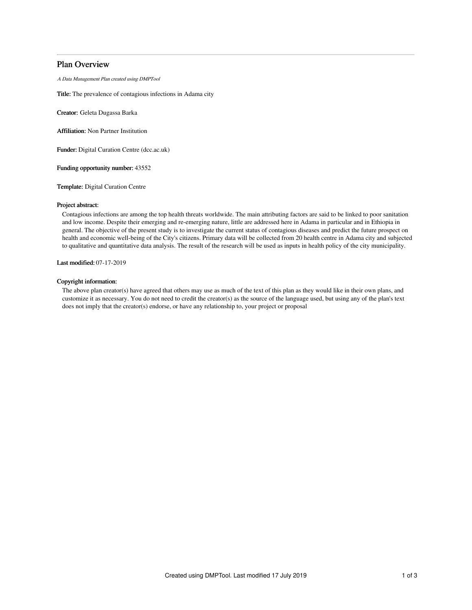# Plan Overview

A Data Management Plan created using DMPTool

Title: The prevalence of contagious infections in Adama city

Creator: Geleta Dugassa Barka

Affiliation: Non Partner Institution

Funder: Digital Curation Centre (dcc.ac.uk)

Funding opportunity number: 43552

Template: Digital Curation Centre

### Project abstract:

Contagious infections are among the top health threats worldwide. The main attributing factors are said to be linked to poor sanitation and low income. Despite their emerging and re-emerging nature, little are addressed here in Adama in particular and in Ethiopia in general. The objective of the present study is to investigate the current status of contagious diseases and predict the future prospect on health and economic well-being of the City's citizens. Primary data will be collected from 20 health centre in Adama city and subjected to qualitative and quantitative data analysis. The result of the research will be used as inputs in health policy of the city municipality.

Last modified: 07-17-2019

## Copyright information:

The above plan creator(s) have agreed that others may use as much of the text of this plan as they would like in their own plans, and customize it as necessary. You do not need to credit the creator(s) as the source of the language used, but using any of the plan's text does not imply that the creator(s) endorse, or have any relationship to, your project or proposal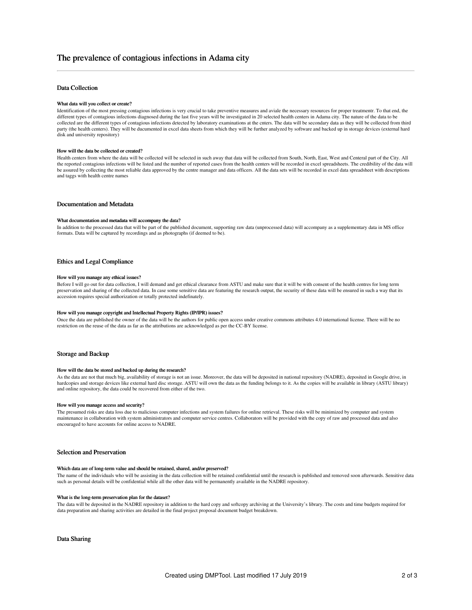## Data Collection

#### What data will you collect or create?

Identification of the most pressing contagious infections is very crucial to take preventive measures and aviale the necessary resources for proper treatmentr. To that end, the different types of contagious infections diagnosed during the last five years will be investigated in 20 selected health centers in Adama city. The nature of the data to be collected are the different types of contagious infections detected by laboratory examinations at the cnters. The data will be secondary data as they will be collected from third party (the health centers). They will be ducumented in excel data sheets from which they will be further analyzed by software and backed up in storage devices (external hard disk and university repository)

### How will the data be collected or created?

Health centers from where the data will be collected will be selected in such away that data will be collected from South, North, East, West and Centeral part of the City. All the reported contagious infections will be listed and the number of reported cases from the health centers will be recorded in excel spreadsheets. The credibility of the data will be assured by collecting the most reliable data approved by the centre manager and data officers. All the data sets will be recorded in excel data spreadsheet with descriptions and taggs with health centre names

## Documentation and Metadata

#### What documentation and metadata will accompany the data?

In addition to the processed data that will be part of the published document, supporting raw data (unprocessed data) will accompany as a supplementary data in MS office formats. Data will be captured by recordings and as photographs (if deemed to be).

## Ethics and Legal Compliance

#### How will you manage any ethical issues?

Before I will go out for data collection, I will demand and get ethical clearance from ASTU and make sure that it will be with consent of the health centres for long term preservation and sharing of the collected data. In case some sensitive data are featuring the research output, the security of these data will be ensured in such a way that its accession requires special authorization or totally protected indefinately.

#### How will you manage copyright and Intellectual Property Rights (IP/IPR) issues?

Once the data are published the owner of the data will be the authors for public open access under creative commons attributes 4.0 international license. There will be no restriction on the reuse of the data as far as the attributions are acknowledged as per the CC-BY license.

### Storage and Backup

### How will the data be stored and backed up during the research?

As the data are not that much big, availability of storage is not an issue. Moreover, the data will be deposited in national repository (NADRE), deposited in Google drive, in hardcopies and storage devices like external hard disc storage. ASTU will own the data as the funding belongs to it. As the copies will be available in library (ASTU library) and online repository, the data could be recovered from either of the two.

### How will you manage access and security?

The presumed risks are data loss due to malicious computer infections and system failures for online retrieval. These risks will be minimized by computer and system maintenance in collaboration with system administrators and computer service centres. Collaborators will be provided with the copy of raw and processed data and also encouraged to have accounts for online access to NADRE.

## Selection and Preservation

#### Which data are of long-term value and should be retained, shared, and/or preserved?

The name of the individuals who will be assisting in the data collection will be retained confidential until the research is published and removed soon afterwards. Sensitive data such as personal details will be confidential while all the other data will be permanently available in the NADRE repository.

#### What is the long-term preservation plan for the dataset?

The data will be deposited in the NADRE repository in addition to the hard copy and softcopy archiving at the University's library. The costs and time budgets required for data preparation and sharing activities are detailed in the final project proposal document budget breakdown.

### Data Sharing